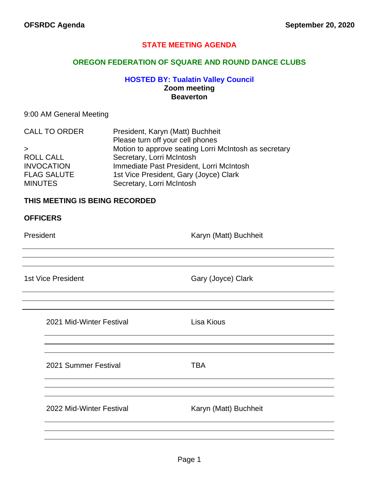### **STATE MEETING AGENDA**

### **OREGON FEDERATION OF SQUARE AND ROUND DANCE CLUBS**

### **HOSTED BY: Tualatin Valley Council Zoom meeting Beaverton**

#### 9:00 AM General Meeting

| President, Karyn (Matt) Buchheit                      |
|-------------------------------------------------------|
| Please turn off your cell phones                      |
| Motion to approve seating Lorri McIntosh as secretary |
| Secretary, Lorri McIntosh                             |
| Immediate Past President, Lorri McIntosh              |
| 1st Vice President, Gary (Joyce) Clark                |
| Secretary, Lorri McIntosh                             |
|                                                       |

#### **THIS MEETING IS BEING RECORDED**

### **OFFICERS**

President **Contract Contract Contract Contract Contract Contract Contract Contract Contract Contract Contract Contract Contract Contract Contract Contract Contract Contract Contract Contract Contract Contract Contract Cont** 

1st Vice President **Gary (Joyce)** Clark

| Lisa Kious            |
|-----------------------|
|                       |
|                       |
| <b>TBA</b>            |
|                       |
| Karyn (Matt) Buchheit |
|                       |
|                       |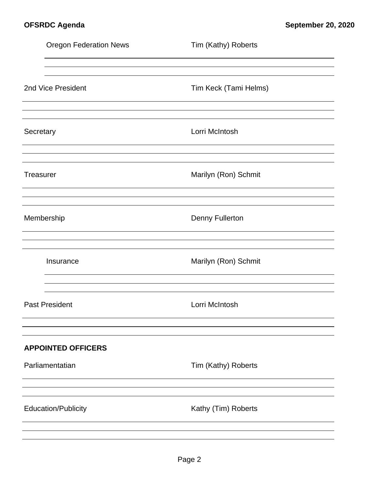|                  | <b>Oregon Federation News</b> | Tim (Kathy) Roberts    |
|------------------|-------------------------------|------------------------|
|                  |                               |                        |
|                  | 2nd Vice President            | Tim Keck (Tami Helms)  |
| Secretary        |                               | Lorri McIntosh         |
| <b>Treasurer</b> |                               | Marilyn (Ron) Schmit   |
|                  | Membership                    | <b>Denny Fullerton</b> |
|                  | Insurance                     | Marilyn (Ron) Schmit   |
|                  | <b>Past President</b>         | Lorri McIntosh         |
|                  | <b>APPOINTED OFFICERS</b>     |                        |
|                  | Parliamentatian               | Tim (Kathy) Roberts    |
|                  |                               |                        |
|                  | <b>Education/Publicity</b>    | Kathy (Tim) Roberts    |
|                  |                               |                        |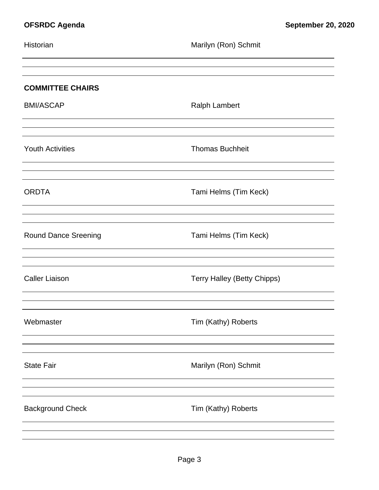| Historian                   | Marilyn (Ron) Schmit        |
|-----------------------------|-----------------------------|
|                             |                             |
| <b>COMMITTEE CHAIRS</b>     |                             |
| <b>BMI/ASCAP</b>            | <b>Ralph Lambert</b>        |
|                             |                             |
| <b>Youth Activities</b>     | <b>Thomas Buchheit</b>      |
|                             |                             |
| <b>ORDTA</b>                | Tami Helms (Tim Keck)       |
|                             |                             |
| <b>Round Dance Sreening</b> | Tami Helms (Tim Keck)       |
|                             |                             |
| <b>Caller Liaison</b>       | Terry Halley (Betty Chipps) |
|                             |                             |
| Webmaster                   | Tim (Kathy) Roberts         |
|                             |                             |
| <b>State Fair</b>           | Marilyn (Ron) Schmit        |
|                             |                             |
| <b>Background Check</b>     | Tim (Kathy) Roberts         |
|                             |                             |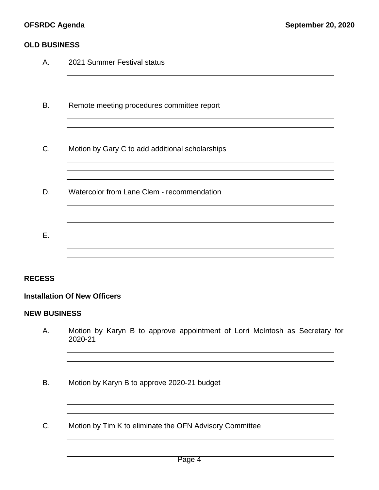### **OLD BUSINESS**

| A.            | 2021 Summer Festival status                     |
|---------------|-------------------------------------------------|
| B.            | Remote meeting procedures committee report      |
| C.            | Motion by Gary C to add additional scholarships |
| D.            | Watercolor from Lane Clem - recommendation      |
| Ε.            |                                                 |
| <b>RECESS</b> |                                                 |

### **Installation Of New Officers**

### **NEW BUSINESS**

A. Motion by Karyn B to approve appointment of Lorri McIntosh as Secretary for 2020-21

<u> 1989 - Johann Stoff, deutscher Stoffen und der Stoffen und der Stoffen und der Stoffen und der Stoffen und der</u>

<u> 1989 - Johann Stoff, amerikansk politiker (\* 1908)</u>

- B. Motion by Karyn B to approve 2020-21 budget
- C. Motion by Tim K to eliminate the OFN Advisory Committee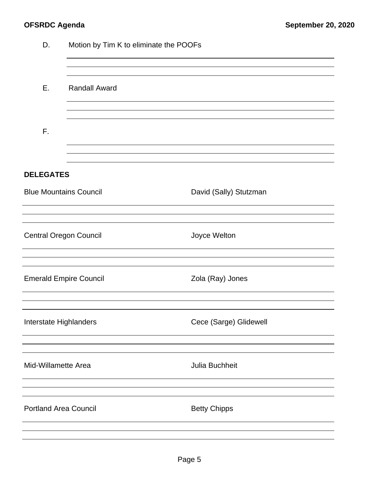| D.<br>Motion by Tim K to eliminate the POOFs |                      |                        |  |  |  |
|----------------------------------------------|----------------------|------------------------|--|--|--|
| Ε.                                           | <b>Randall Award</b> |                        |  |  |  |
| F.                                           |                      |                        |  |  |  |
| <b>DELEGATES</b>                             |                      |                        |  |  |  |
| <b>Blue Mountains Council</b>                |                      | David (Sally) Stutzman |  |  |  |
| <b>Central Oregon Council</b>                |                      | Joyce Welton           |  |  |  |
| <b>Emerald Empire Council</b>                |                      | Zola (Ray) Jones       |  |  |  |
| Interstate Highlanders                       |                      | Cece (Sarge) Glidewell |  |  |  |
| Mid-Willamette Area                          |                      | Julia Buchheit         |  |  |  |
| <b>Portland Area Council</b>                 |                      | <b>Betty Chipps</b>    |  |  |  |
|                                              |                      |                        |  |  |  |